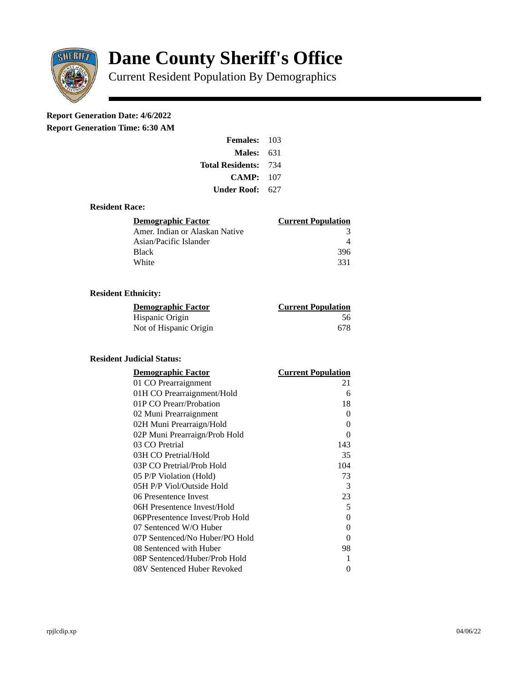

# **Dane County Sheriff's Office**

Current Resident Population By Demographics

## **Report Generation Date: 4/6/2022**

**Report Generation Time: 6:30 AM** 

| <b>Females: 103</b>         |     |
|-----------------------------|-----|
| Males:                      | 631 |
| <b>Total Residents: 734</b> |     |
| CAMP:                       | 107 |
| Under Roof:                 | 627 |

#### **Resident Race:**

| Demographic Factor             | <b>Current Population</b> |
|--------------------------------|---------------------------|
| Amer. Indian or Alaskan Native | З                         |
| Asian/Pacific Islander         |                           |
| <b>Black</b>                   | 396                       |
| White                          | 331                       |

### **Resident Ethnicity:**

| <u>Demographic Factor</u> | <b>Current Population</b> |
|---------------------------|---------------------------|
| Hispanic Origin           | -56                       |
| Not of Hispanic Origin    | 678                       |

#### **Resident Judicial Status:**

| <b>Demographic Factor</b>       | <b>Current Population</b> |
|---------------------------------|---------------------------|
| 01 CO Prearraignment            | 21                        |
| 01H CO Prearraignment/Hold      | 6                         |
| 01P CO Prearr/Probation         | 18                        |
| 02 Muni Prearraignment          | 0                         |
| 02H Muni Prearraign/Hold        | 0                         |
| 02P Muni Prearraign/Prob Hold   | 0                         |
| 03 CO Pretrial                  | 143                       |
| 03H CO Pretrial/Hold            | 35                        |
| 03P CO Pretrial/Prob Hold       | 104                       |
| 05 P/P Violation (Hold)         | 73                        |
| 05H P/P Viol/Outside Hold       | 3                         |
| 06 Presentence Invest           | 23                        |
| 06H Presentence Invest/Hold     | 5                         |
| 06PPresentence Invest/Prob Hold | 0                         |
| 07 Sentenced W/O Huber          | 0                         |
| 07P Sentenced/No Huber/PO Hold  | 0                         |
| 08 Sentenced with Huber         | 98                        |
| 08P Sentenced/Huber/Prob Hold   | 1                         |
| 08V Sentenced Huber Revoked     | 0                         |